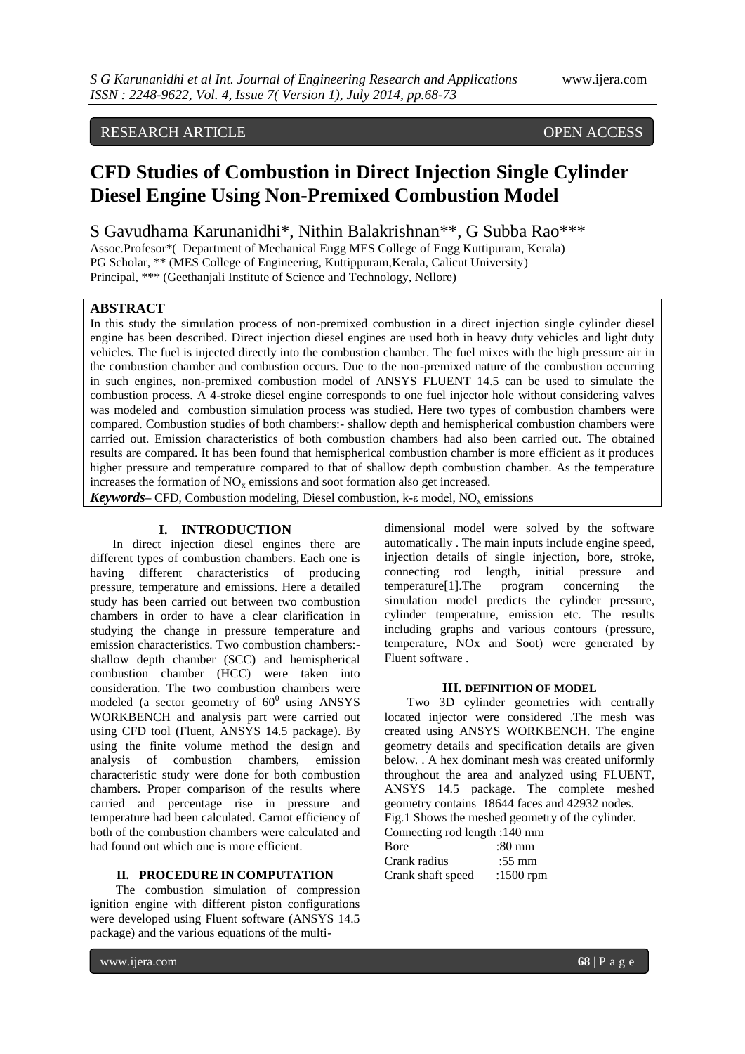### RESEARCH ARTICLE OPEN ACCESS

## **CFD Studies of Combustion in Direct Injection Single Cylinder Diesel Engine Using Non-Premixed Combustion Model**

S Gavudhama Karunanidhi\*, Nithin Balakrishnan\*\*, G Subba Rao\*\*\*

Assoc.Profesor\*( Department of Mechanical Engg MES College of Engg Kuttipuram, Kerala) PG Scholar, \*\* (MES College of Engineering, Kuttippuram,Kerala, Calicut University) Principal, \*\*\* (Geethanjali Institute of Science and Technology, Nellore)

#### **ABSTRACT**

In this study the simulation process of non-premixed combustion in a direct injection single cylinder diesel engine has been described. Direct injection diesel engines are used both in heavy duty vehicles and light duty vehicles. The fuel is injected directly into the combustion chamber. The fuel mixes with the high pressure air in the combustion chamber and combustion occurs. Due to the non-premixed nature of the combustion occurring in such engines, non-premixed combustion model of ANSYS FLUENT 14.5 can be used to simulate the combustion process. A 4-stroke diesel engine corresponds to one fuel injector hole without considering valves was modeled and combustion simulation process was studied. Here two types of combustion chambers were compared. Combustion studies of both chambers:- shallow depth and hemispherical combustion chambers were carried out. Emission characteristics of both combustion chambers had also been carried out. The obtained results are compared. It has been found that hemispherical combustion chamber is more efficient as it produces higher pressure and temperature compared to that of shallow depth combustion chamber. As the temperature increases the formation of  $NO<sub>x</sub>$  emissions and soot formation also get increased.

*Keywords* – CFD, Combustion modeling, Diesel combustion, k- $\varepsilon$  model, NO<sub>x</sub> emissions

#### **I. INTRODUCTION**

In direct injection diesel engines there are different types of combustion chambers. Each one is having different characteristics of producing pressure, temperature and emissions. Here a detailed study has been carried out between two combustion chambers in order to have a clear clarification in studying the change in pressure temperature and emission characteristics. Two combustion chambers: shallow depth chamber (SCC) and hemispherical combustion chamber (HCC) were taken into consideration. The two combustion chambers were modeled (a sector geometry of  $60^0$  using ANSYS WORKBENCH and analysis part were carried out using CFD tool (Fluent, ANSYS 14.5 package). By using the finite volume method the design and analysis of combustion chambers, emission characteristic study were done for both combustion chambers. Proper comparison of the results where carried and percentage rise in pressure and temperature had been calculated. Carnot efficiency of both of the combustion chambers were calculated and had found out which one is more efficient.

#### **II. PROCEDURE IN COMPUTATION**

The combustion simulation of compression ignition engine with different piston configurations were developed using Fluent software (ANSYS 14.5 package) and the various equations of the multidimensional model were solved by the software automatically . The main inputs include engine speed, injection details of single injection, bore, stroke, connecting rod length, initial pressure and temperature[1].The program concerning the simulation model predicts the cylinder pressure, cylinder temperature, emission etc. The results including graphs and various contours (pressure, temperature, NOx and Soot) were generated by Fluent software .

#### **III. DEFINITION OF MODEL**

Two 3D cylinder geometries with centrally located injector were considered .The mesh was created using ANSYS WORKBENCH. The engine geometry details and specification details are given below. . A hex dominant mesh was created uniformly throughout the area and analyzed using FLUENT, ANSYS 14.5 package. The complete meshed geometry contains 18644 faces and 42932 nodes. Fig.1 Shows the meshed geometry of the cylinder.

Connecting rod length :140 mm

| CONNECTING TO LENGTH . 140 HILL |                  |
|---------------------------------|------------------|
| <b>B</b> ore                    | $:80 \text{ mm}$ |
| Crank radius                    | $:55 \text{ mm}$ |
| Crank shaft speed               | :1500 rpm        |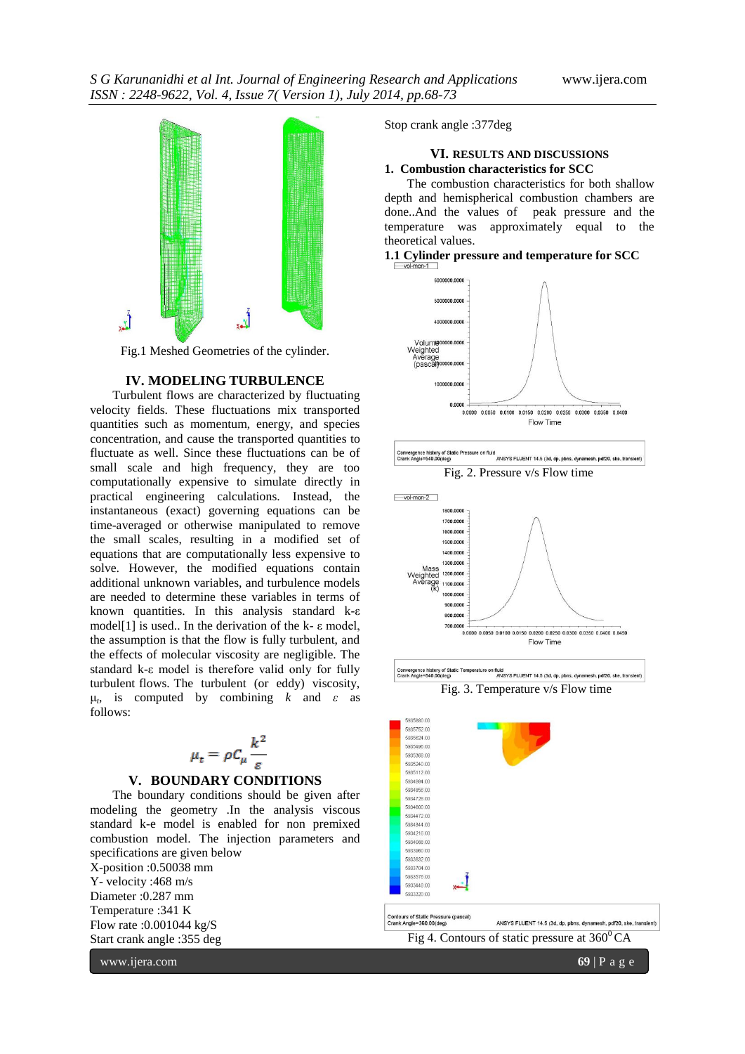

Fig.1 Meshed Geometries of the cylinder.

#### **IV. MODELING TURBULENCE**

Turbulent flows are characterized by fluctuating velocity fields. These fluctuations mix transported quantities such as momentum, energy, and species concentration, and cause the transported quantities to fluctuate as well. Since these fluctuations can be of small scale and high frequency, they are too computationally expensive to simulate directly in practical engineering calculations. Instead, the instantaneous (exact) governing equations can be time-averaged or otherwise manipulated to remove the small scales, resulting in a modified set of equations that are computationally less expensive to solve. However, the modified equations contain additional unknown variables, and turbulence models are needed to determine these variables in terms of known quantities. In this analysis standard k-ε model[1] is used.. In the derivation of the k- $\varepsilon$  model, the assumption is that the flow is fully turbulent, and the effects of molecular viscosity are negligible. The standard k-ε model is therefore valid only for fully turbulent flows. The turbulent (or eddy) viscosity, μ*t* , is computed by combining *k* and *ε* as follows:

$$
\mu_t = \rho C_\mu \frac{k^2}{\varepsilon}
$$

#### **V. BOUNDARY CONDITIONS**

The boundary conditions should be given after modeling the geometry .In the analysis viscous standard k-e model is enabled for non premixed combustion model. The injection parameters and specifications are given below X-position :0.50038 mm Y- velocity :468 m/s Diameter :0.287 mm Temperature :341 K Flow rate :0.001044 kg/S Start crank angle :355 deg

Stop crank angle :377deg

#### **VI. RESULTS AND DISCUSSIONS 1. Combustion characteristics for SCC**

The combustion characteristics for both shallow depth and hemispherical combustion chambers are done..And the values of peak pressure and the temperature was approximately equal to the theoretical values.

#### **1.1 Cylinder pressure and temperature for SCC**







Convergence history of Static Temperature on fluid<br>Crank Angle=540.00(deg) ANSYS FLUENT 14.5 (3d, dp, pbns, dynamesh, pdf20, ske, trans Fig. 3. Temperature v/s Flow time

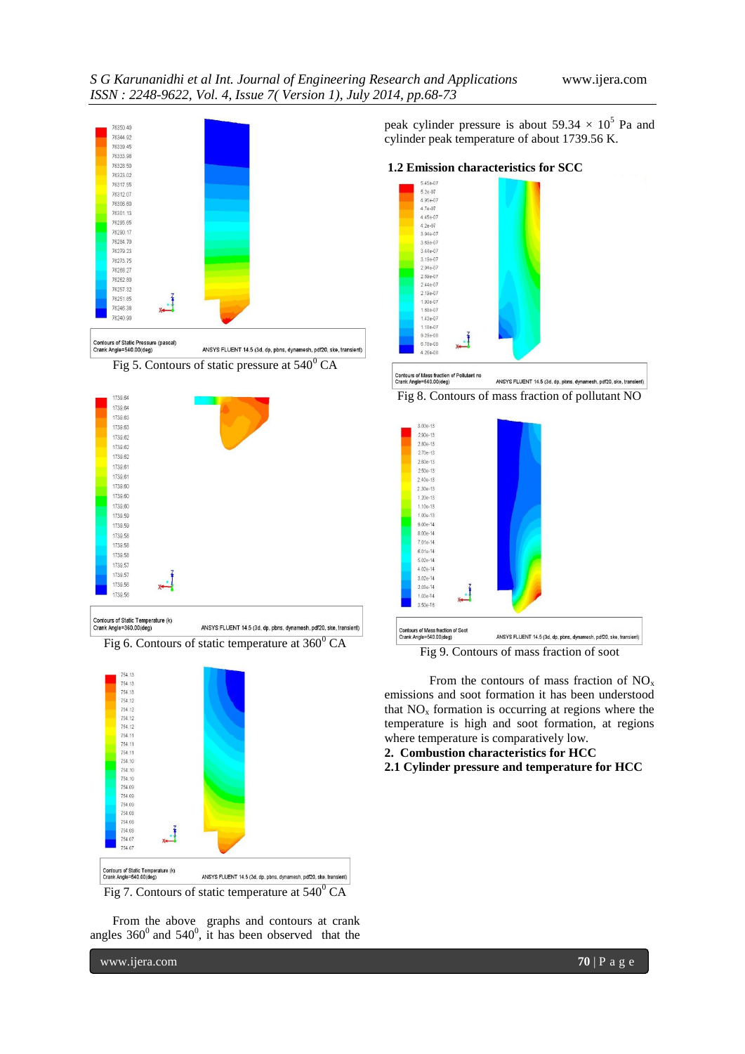





Contours of Static Temperature (k)<br>Crank Angle=360.00(deg) ANSYS FLUENT 14.5 (3d, dp, pbns, dynamesh, pdf20, ske, transient)

Fig 6. Contours of static temperature at  $360^{\circ}$  CA



From the above graphs and contours at crank angles  $360^{\circ}$  and  $540^{\circ}$ , it has been observed that the

www.ijera.com **70** | P a g e

peak cylinder pressure is about  $59.34 \times 10^5$  Pa and cylinder peak temperature of about 1739.56 K.

#### **1.2 Emission characteristics for SCC**







Fig 9. Contours of mass fraction of soot

From the contours of mass fraction of  $NO<sub>x</sub>$ emissions and soot formation it has been understood that  $NO<sub>x</sub>$  formation is occurring at regions where the temperature is high and soot formation, at regions where temperature is comparatively low.

- **2. Combustion characteristics for HCC**
- **2.1 Cylinder pressure and temperature for HCC**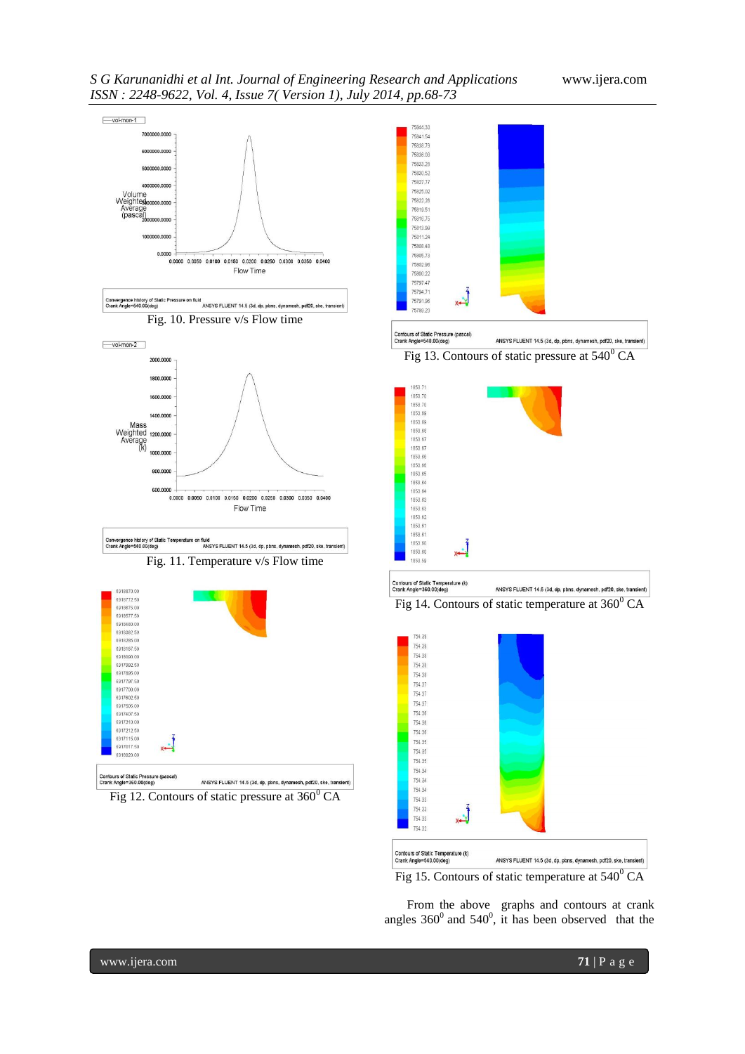



From the above graphs and contours at crank angles  $360^{\circ}$  and  $540^{\circ}$ , it has been observed that the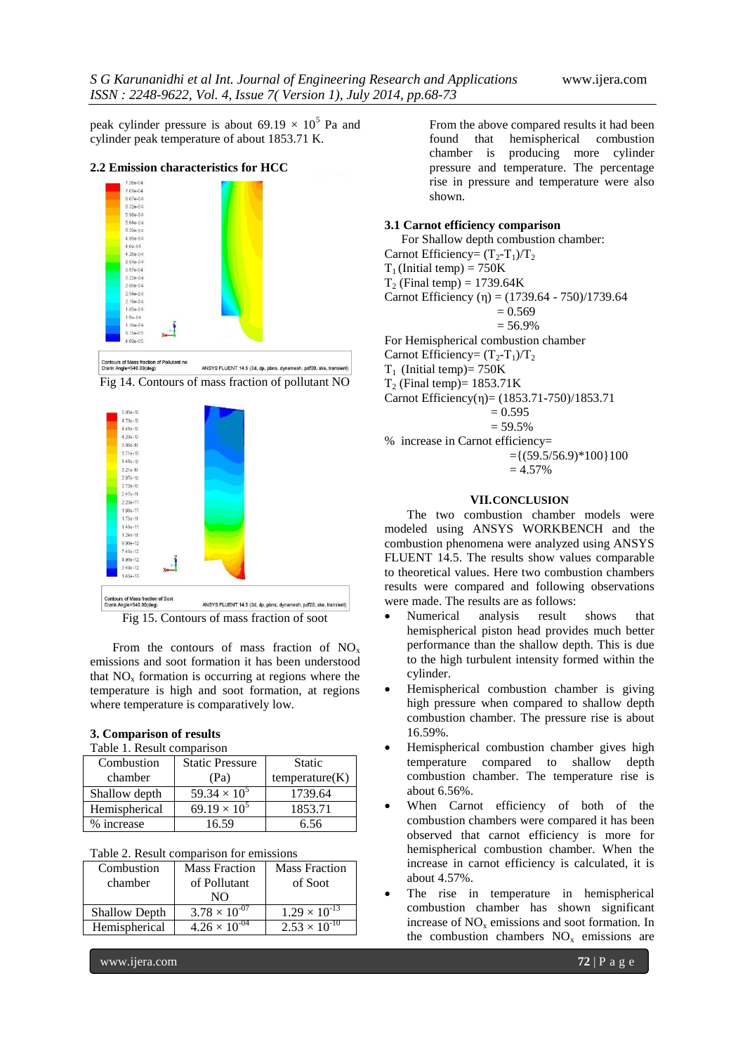peak cylinder pressure is about  $69.19 \times 10^5$  Pa and cylinder peak temperature of about 1853.71 K.

#### **2.2 Emission characteristics for HCC**









From the contours of mass fraction of  $NO<sub>x</sub>$ emissions and soot formation it has been understood that  $NO<sub>x</sub>$  formation is occurring at regions where the temperature is high and soot formation, at regions where temperature is comparatively low.

#### **3. Comparison of results**

|  | Table 1. Result comparison |  |
|--|----------------------------|--|
|  |                            |  |

| Combustion    | <b>Static Pressure</b> | <b>Static</b>  |
|---------------|------------------------|----------------|
| chamber       | (Pa)                   | temperature(K) |
| Shallow depth | $59.34 \times 10^{5}$  | 1739.64        |
| Hemispherical | $69.19 \times 10^{5}$  | 1853.71        |
| % increase    | 16.59                  | 6.56           |

|  | Table 2. Result comparison for emissions |  |  |
|--|------------------------------------------|--|--|
|  |                                          |  |  |

| Combustion           | <b>Mass Fraction</b>   | <b>Mass Fraction</b>   |
|----------------------|------------------------|------------------------|
| chamber              | of Pollutant           | of Soot                |
|                      | NΟ                     |                        |
| <b>Shallow Depth</b> | $3.78 \times 10^{-07}$ | $1.29 \times 10^{-13}$ |
| Hemispherical        | $4.26 \times 10^{-04}$ | $2.53 \times 10^{-10}$ |
|                      |                        |                        |

From the above compared results it had been found that hemispherical combustion chamber is producing more cylinder pressure and temperature. The percentage rise in pressure and temperature were also shown.

#### **3.1 Carnot efficiency comparison**

For Shallow depth combustion chamber:

Carnot Efficiency=  $(T_2-T_1)/T_2$ 

 $T_1$  (Initial temp) = 750K

 $T<sub>2</sub>$  (Final temp) = 1739.64K

Carnot Efficiency (η) = (1739.64 - 750)/1739.64

$$
= 0.569
$$

 $= 56.9%$ 

For Hemispherical combustion chamber

Carnot Efficiency=  $(T_2-T_1)/T_2$ 

 $T_1$  (Initial temp)= 750K

 $T<sub>2</sub>$  (Final temp)= 1853.71K

Carnot Efficiency(η)= (1853.71-750)/1853.71



 $= 59.5%$ 

% increase in Carnot efficiency=  $=\{(59.5/56.9)*100\}100$ 

$$
-1(39.3/30.5)
$$
  
= 4.57%

#### **VII.CONCLUSION**

The two combustion chamber models were modeled using ANSYS WORKBENCH and the combustion phenomena were analyzed using ANSYS FLUENT 14.5. The results show values comparable to theoretical values. Here two combustion chambers results were compared and following observations were made. The results are as follows:

- Numerical analysis result shows that hemispherical piston head provides much better performance than the shallow depth. This is due to the high turbulent intensity formed within the cylinder.
- Hemispherical combustion chamber is giving high pressure when compared to shallow depth combustion chamber. The pressure rise is about 16.59%.
- Hemispherical combustion chamber gives high temperature compared to shallow depth combustion chamber. The temperature rise is about 6.56%.
- When Carnot efficiency of both of the combustion chambers were compared it has been observed that carnot efficiency is more for hemispherical combustion chamber. When the increase in carnot efficiency is calculated, it is about 4.57%.
- The rise in temperature in hemispherical combustion chamber has shown significant increase of  $NO<sub>x</sub>$  emissions and soot formation. In the combustion chambers  $NO<sub>x</sub>$  emissions are

www.ijera.com **72** | P a g e